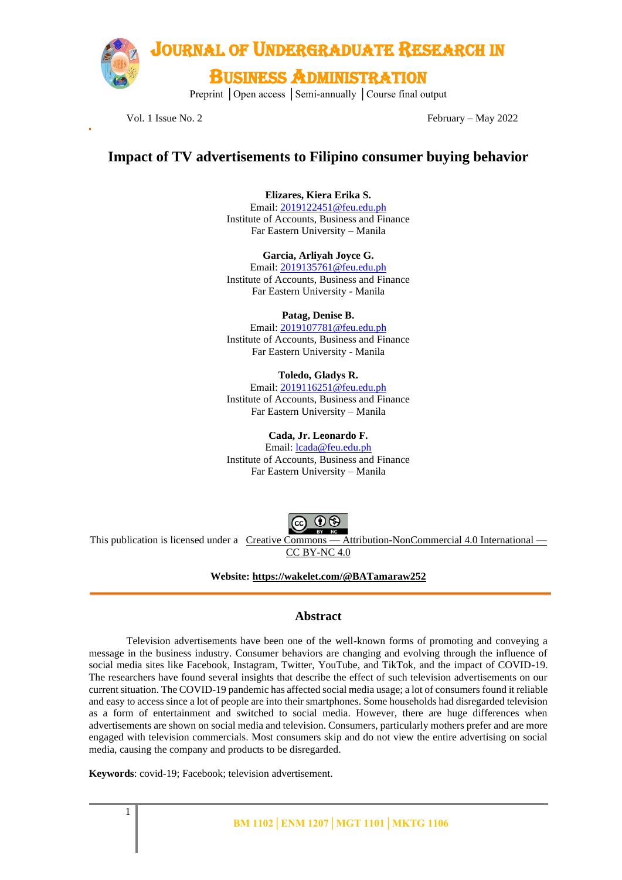

Vol. 1 Issue No. 2 February – May 2022

## **Impact of TV advertisements to Filipino consumer buying behavior**

**Elizares, Kiera Erika S.**  Email[: 2019122451@feu.edu.ph](mailto:2019122451@feu.edu.ph) Institute of Accounts, Business and Finance Far Eastern University – Manila

**Garcia, Arliyah Joyce G.**

Email[: 2019135761@feu.edu.ph](mailto:2019135761@feu.edu.ph) Institute of Accounts, Business and Finance Far Eastern University - Manila

**Patag, Denise B.**

Email[: 2019107781@feu.edu.ph](mailto:2019107781@feu.edu.ph) Institute of Accounts, Business and Finance Far Eastern University - Manila

#### **Toledo, Gladys R.**

Email[: 2019116251@feu.edu.ph](mailto:2019116251@feu.edu.ph) Institute of Accounts, Business and Finance Far Eastern University – Manila

**Cada, Jr. Leonardo F.**

Email: [lcada@feu.edu.ph](mailto:lcada@feu.edu.ph) Institute of Accounts, Business and Finance Far Eastern University – Manila



This publication is licensed under a Creative Commons — [Attribution-NonCommercial 4.0 International —](https://creativecommons.org/licenses/by-nc/4.0/) [CC BY-NC 4.0](https://creativecommons.org/licenses/by-nc/4.0/)

**Website:<https://wakelet.com/@BATamaraw252>**

### **Abstract**

Television advertisements have been one of the well-known forms of promoting and conveying a message in the business industry. Consumer behaviors are changing and evolving through the influence of social media sites like Facebook, Instagram, Twitter, YouTube, and TikTok, and the impact of COVID-19. The researchers have found several insights that describe the effect of such television advertisements on our current situation. The COVID-19 pandemic has affected social media usage; a lot of consumers found it reliable and easy to access since a lot of people are into their smartphones. Some households had disregarded television as a form of entertainment and switched to social media. However, there are huge differences when advertisements are shown on social media and television. Consumers, particularly mothers prefer and are more engaged with television commercials. Most consumers skip and do not view the entire advertising on social media, causing the company and products to be disregarded.

**Keywords**: covid-19; Facebook; television advertisement.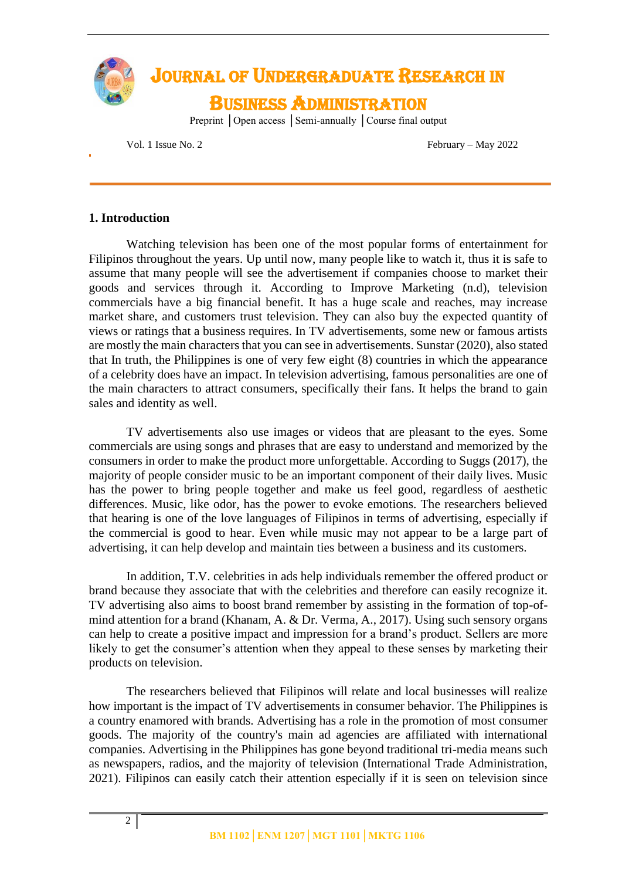

Vol. 1 Issue No. 2 February – May 2022

### **1. Introduction**

Watching television has been one of the most popular forms of entertainment for Filipinos throughout the years. Up until now, many people like to watch it, thus it is safe to assume that many people will see the advertisement if companies choose to market their goods and services through it. According to Improve Marketing (n.d), television commercials have a big financial benefit. It has a huge scale and reaches, may increase market share, and customers trust television. They can also buy the expected quantity of views or ratings that a business requires. In TV advertisements, some new or famous artists are mostly the main characters that you can see in advertisements. Sunstar (2020), also stated that In truth, the Philippines is one of very few eight (8) countries in which the appearance of a celebrity does have an impact. In television advertising, famous personalities are one of the main characters to attract consumers, specifically their fans. It helps the brand to gain sales and identity as well.

TV advertisements also use images or videos that are pleasant to the eyes. Some commercials are using songs and phrases that are easy to understand and memorized by the consumers in order to make the product more unforgettable. According to Suggs (2017), the majority of people consider music to be an important component of their daily lives. Music has the power to bring people together and make us feel good, regardless of aesthetic differences. Music, like odor, has the power to evoke emotions. The researchers believed that hearing is one of the love languages of Filipinos in terms of advertising, especially if the commercial is good to hear. Even while music may not appear to be a large part of advertising, it can help develop and maintain ties between a business and its customers.

In addition, T.V. celebrities in ads help individuals remember the offered product or brand because they associate that with the celebrities and therefore can easily recognize it. TV advertising also aims to boost brand remember by assisting in the formation of top-ofmind attention for a brand (Khanam, A. & Dr. Verma, A., 2017). Using such sensory organs can help to create a positive impact and impression for a brand's product. Sellers are more likely to get the consumer's attention when they appeal to these senses by marketing their products on television.

The researchers believed that Filipinos will relate and local businesses will realize how important is the impact of TV advertisements in consumer behavior. The Philippines is a country enamored with brands. Advertising has a role in the promotion of most consumer goods. The majority of the country's main ad agencies are affiliated with international companies. Advertising in the Philippines has gone beyond traditional tri-media means such as newspapers, radios, and the majority of television (International Trade Administration, 2021). Filipinos can easily catch their attention especially if it is seen on television since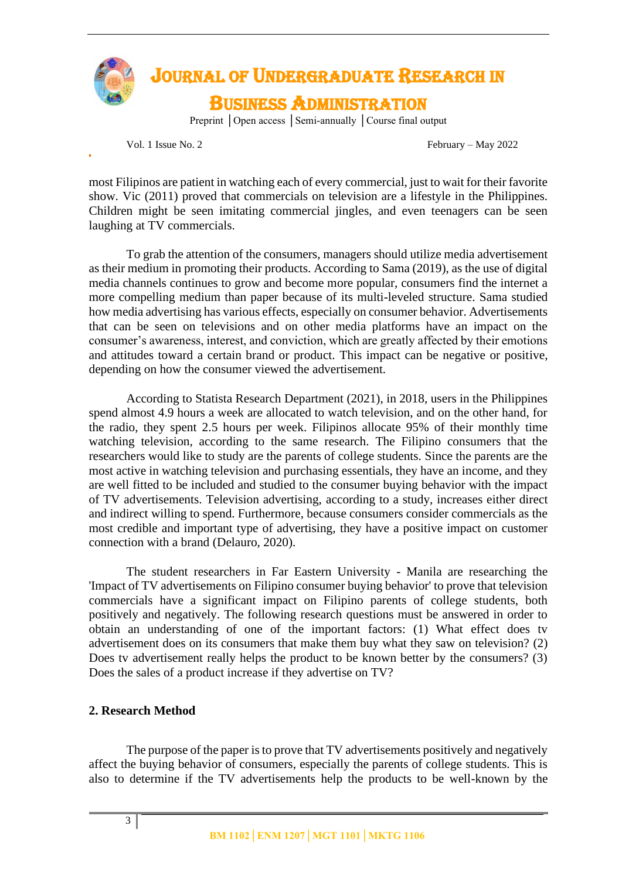

Vol. 1 Issue No. 2 February – May 2022

most Filipinos are patient in watching each of every commercial, just to wait for their favorite show. Vic (2011) proved that commercials on television are a lifestyle in the Philippines. Children might be seen imitating commercial jingles, and even teenagers can be seen laughing at TV commercials.

To grab the attention of the consumers, managers should utilize media advertisement as their medium in promoting their products. According to Sama (2019), as the use of digital media channels continues to grow and become more popular, consumers find the internet a more compelling medium than paper because of its multi-leveled structure. Sama studied how media advertising has various effects, especially on consumer behavior. Advertisements that can be seen on televisions and on other media platforms have an impact on the consumer's awareness, interest, and conviction, which are greatly affected by their emotions and attitudes toward a certain brand or product. This impact can be negative or positive, depending on how the consumer viewed the advertisement.

According to Statista Research Department (2021), in 2018, users in the Philippines spend almost 4.9 hours a week are allocated to watch television, and on the other hand, for the radio, they spent 2.5 hours per week. Filipinos allocate 95% of their monthly time watching television, according to the same research. The Filipino consumers that the researchers would like to study are the parents of college students. Since the parents are the most active in watching television and purchasing essentials, they have an income, and they are well fitted to be included and studied to the consumer buying behavior with the impact of TV advertisements. Television advertising, according to a study, increases either direct and indirect willing to spend. Furthermore, because consumers consider commercials as the most credible and important type of advertising, they have a positive impact on customer connection with a brand (Delauro, 2020).

The student researchers in Far Eastern University - Manila are researching the 'Impact of TV advertisements on Filipino consumer buying behavior' to prove that television commercials have a significant impact on Filipino parents of college students, both positively and negatively. The following research questions must be answered in order to obtain an understanding of one of the important factors: (1) What effect does tv advertisement does on its consumers that make them buy what they saw on television? (2) Does tv advertisement really helps the product to be known better by the consumers? (3) Does the sales of a product increase if they advertise on TV?

#### **2. Research Method**

The purpose of the paper is to prove that TV advertisements positively and negatively affect the buying behavior of consumers, especially the parents of college students. This is also to determine if the TV advertisements help the products to be well-known by the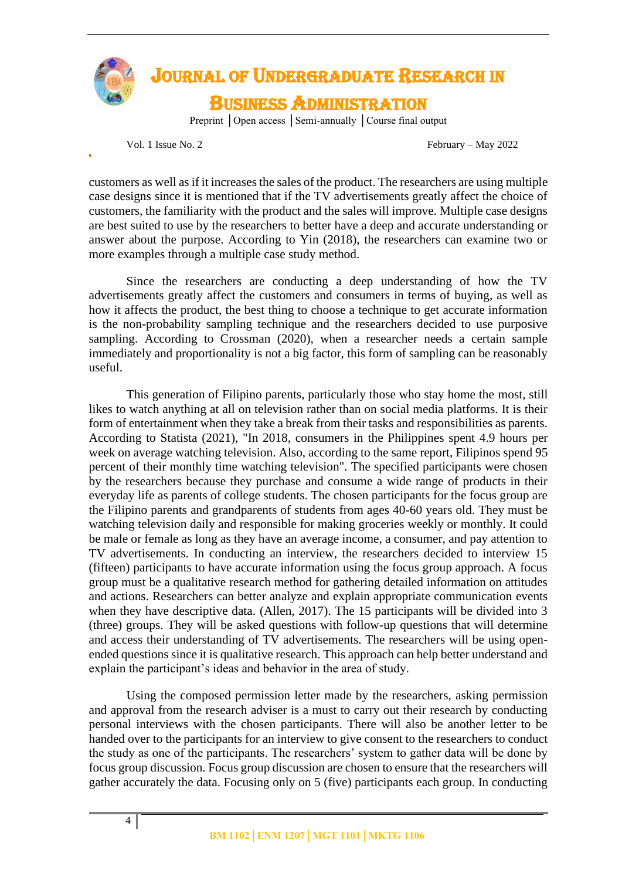

## JOURNAL OF UNDERGRADUATE RESEARCH IN BUSINESS ADMINISTRATION

Preprint │Open access │Semi-annually │Course final output

Vol. 1 Issue No. 2 February – May 2022

customers as well as if it increases the sales of the product. The researchers are using multiple case designs since it is mentioned that if the TV advertisements greatly affect the choice of customers, the familiarity with the product and the sales will improve. Multiple case designs are best suited to use by the researchers to better have a deep and accurate understanding or answer about the purpose. According to Yin (2018), the researchers can examine two or more examples through a multiple case study method.

Since the researchers are conducting a deep understanding of how the TV advertisements greatly affect the customers and consumers in terms of buying, as well as how it affects the product, the best thing to choose a technique to get accurate information is the non-probability sampling technique and the researchers decided to use purposive sampling. According to Crossman (2020), when a researcher needs a certain sample immediately and proportionality is not a big factor, this form of sampling can be reasonably useful.

This generation of Filipino parents, particularly those who stay home the most, still likes to watch anything at all on television rather than on social media platforms. It is their form of entertainment when they take a break from their tasks and responsibilities as parents. According to Statista (2021), "In 2018, consumers in the Philippines spent 4.9 hours per week on average watching television. Also, according to the same report, Filipinos spend 95 percent of their monthly time watching television". The specified participants were chosen by the researchers because they purchase and consume a wide range of products in their everyday life as parents of college students. The chosen participants for the focus group are the Filipino parents and grandparents of students from ages 40-60 years old. They must be watching television daily and responsible for making groceries weekly or monthly. It could be male or female as long as they have an average income, a consumer, and pay attention to TV advertisements. In conducting an interview, the researchers decided to interview 15 (fifteen) participants to have accurate information using the focus group approach. A focus group must be a qualitative research method for gathering detailed information on attitudes and actions. Researchers can better analyze and explain appropriate communication events when they have descriptive data. (Allen, 2017). The 15 participants will be divided into 3 (three) groups. They will be asked questions with follow-up questions that will determine and access their understanding of TV advertisements. The researchers will be using openended questions since it is qualitative research. This approach can help better understand and explain the participant's ideas and behavior in the area of study.

Using the composed permission letter made by the researchers, asking permission and approval from the research adviser is a must to carry out their research by conducting personal interviews with the chosen participants. There will also be another letter to be handed over to the participants for an interview to give consent to the researchers to conduct the study as one of the participants. The researchers' system to gather data will be done by focus group discussion. Focus group discussion are chosen to ensure that the researchers will gather accurately the data. Focusing only on 5 (five) participants each group. In conducting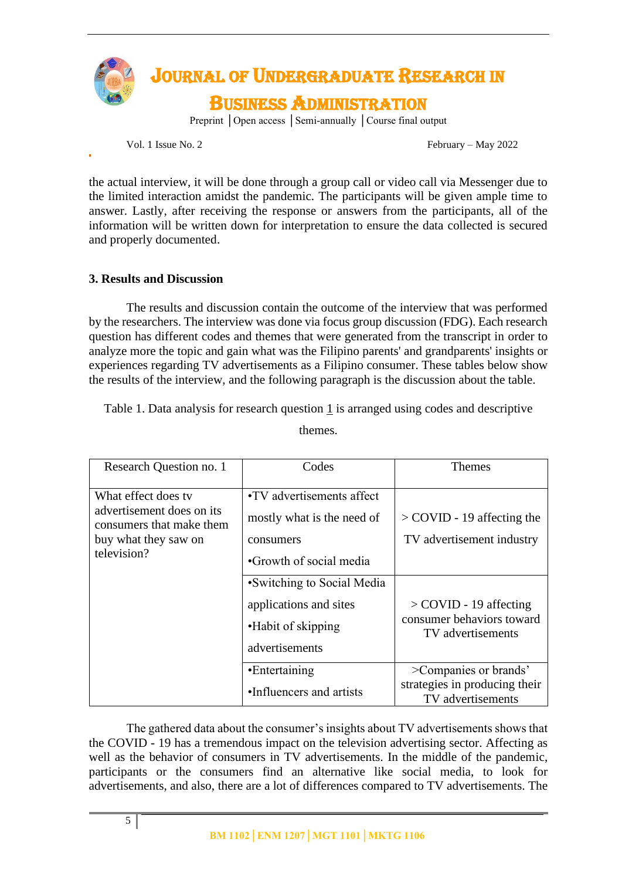

Vol. 1 Issue No. 2 February – May 2022

the actual interview, it will be done through a group call or video call via Messenger due to the limited interaction amidst the pandemic. The participants will be given ample time to answer. Lastly, after receiving the response or answers from the participants, all of the information will be written down for interpretation to ensure the data collected is secured and properly documented.

### **3. Results and Discussion**

The results and discussion contain the outcome of the interview that was performed by the researchers. The interview was done via focus group discussion (FDG). Each research question has different codes and themes that were generated from the transcript in order to analyze more the topic and gain what was the Filipino parents' and grandparents' insights or experiences regarding TV advertisements as a Filipino consumer. These tables below show the results of the interview, and the following paragraph is the discussion about the table.

Table 1. Data analysis for research question 1 is arranged using codes and descriptive

| Research Question no. 1                                                                                             | Codes                                                                                                                                                                                            | <b>Themes</b>                                                                                                                           |
|---------------------------------------------------------------------------------------------------------------------|--------------------------------------------------------------------------------------------------------------------------------------------------------------------------------------------------|-----------------------------------------------------------------------------------------------------------------------------------------|
| What effect does ty<br>advertisement does on its<br>consumers that make them<br>buy what they saw on<br>television? | •TV advertisements affect<br>mostly what is the need of<br>consumers<br>•Growth of social media<br>• Switching to Social Media<br>applications and sites<br>•Habit of skipping<br>advertisements | $>$ COVID - 19 affecting the<br>TV advertisement industry<br>$>$ COVID - 19 affecting<br>consumer behaviors toward<br>TV advertisements |
|                                                                                                                     | •Entertaining                                                                                                                                                                                    | >Companies or brands'                                                                                                                   |
|                                                                                                                     | •Influencers and artists                                                                                                                                                                         | strategies in producing their<br>TV advertisements                                                                                      |

themes.

The gathered data about the consumer's insights about TV advertisements shows that the COVID - 19 has a tremendous impact on the television advertising sector. Affecting as well as the behavior of consumers in TV advertisements. In the middle of the pandemic, participants or the consumers find an alternative like social media, to look for advertisements, and also, there are a lot of differences compared to TV advertisements. The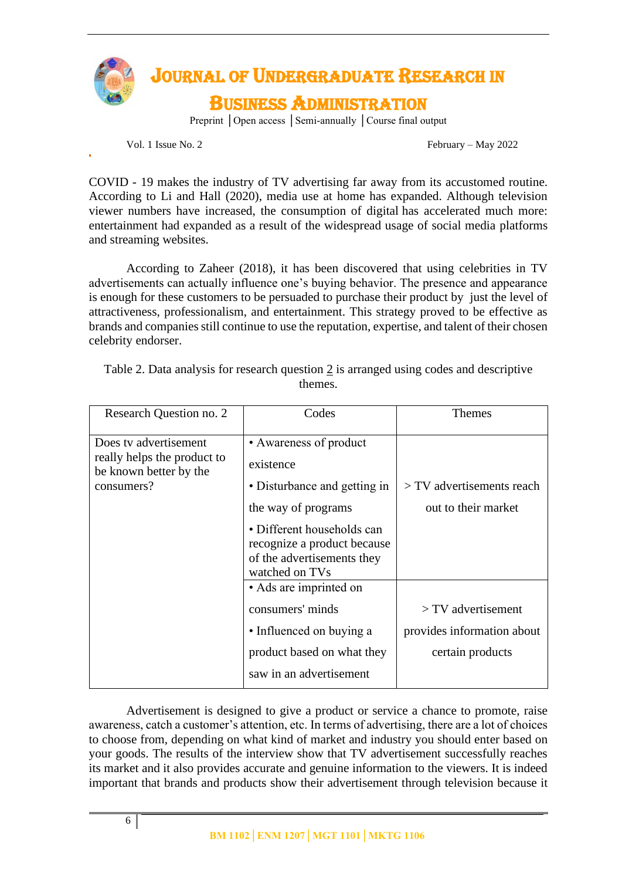

Vol. 1 Issue No. 2 February – May 2022

COVID - 19 makes the industry of TV advertising far away from its accustomed routine. According to Li and Hall (2020), media use at home has expanded. Although television viewer numbers have increased, the consumption of digital has accelerated much more: entertainment had expanded as a result of the widespread usage of social media platforms and streaming websites.

According to Zaheer (2018), it has been discovered that using celebrities in TV advertisements can actually influence one's buying behavior. The presence and appearance is enough for these customers to be persuaded to purchase their product by just the level of attractiveness, professionalism, and entertainment. This strategy proved to be effective as brands and companies still continue to use the reputation, expertise, and talent of their chosen celebrity endorser.

| Research Question no. 2                                                                      | Codes                                                                                                                                                                                                   | Themes                                                                 |
|----------------------------------------------------------------------------------------------|---------------------------------------------------------------------------------------------------------------------------------------------------------------------------------------------------------|------------------------------------------------------------------------|
| Does ty advertisement<br>really helps the product to<br>be known better by the<br>consumers? | • Awareness of product<br>existence<br>• Disturbance and getting in<br>the way of programs<br>• Different households can<br>recognize a product because<br>of the advertisements they<br>watched on TVs | $>$ TV advertisements reach<br>out to their market                     |
|                                                                                              | • Ads are imprinted on<br>consumers' minds<br>• Influenced on buying a<br>product based on what they<br>saw in an advertisement                                                                         | $> TV$ advertisement<br>provides information about<br>certain products |

Table 2. Data analysis for research question 2 is arranged using codes and descriptive themes.

Advertisement is designed to give a product or service a chance to promote, raise awareness, catch a customer's attention, etc. In terms of advertising, there are a lot of choices to choose from, depending on what kind of market and industry you should enter based on your goods. The results of the interview show that TV advertisement successfully reaches its market and it also provides accurate and genuine information to the viewers. It is indeed important that brands and products show their advertisement through television because it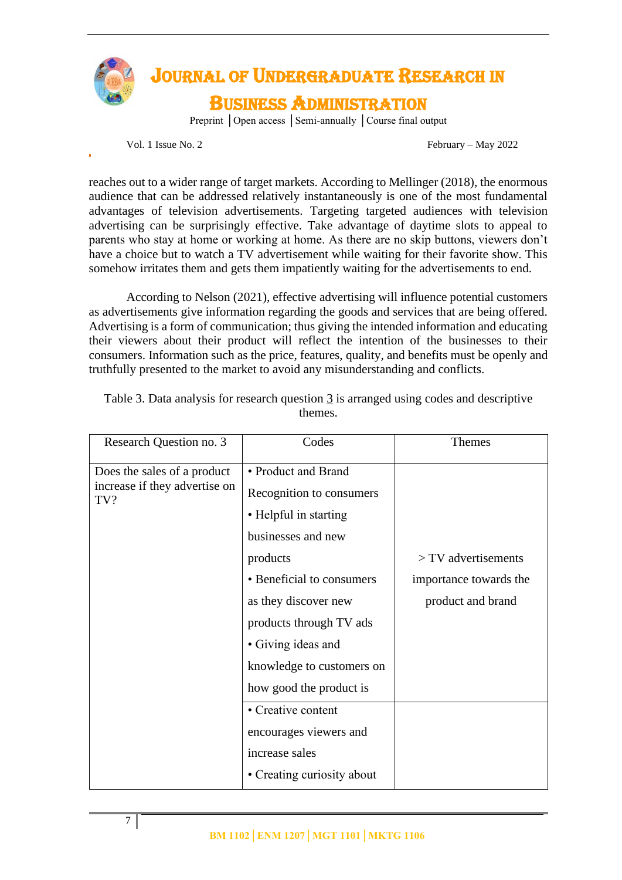

Vol. 1 Issue No. 2 February – May 2022

reaches out to a wider range of target markets. According to Mellinger (2018), the enormous audience that can be addressed relatively instantaneously is one of the most fundamental advantages of television advertisements. Targeting targeted audiences with television advertising can be surprisingly effective. Take advantage of daytime slots to appeal to parents who stay at home or working at home. As there are no skip buttons, viewers don't have a choice but to watch a TV advertisement while waiting for their favorite show. This somehow irritates them and gets them impatiently waiting for the advertisements to end.

According to Nelson (2021), effective advertising will influence potential customers as advertisements give information regarding the goods and services that are being offered. Advertising is a form of communication; thus giving the intended information and educating their viewers about their product will reflect the intention of the businesses to their consumers. Information such as the price, features, quality, and benefits must be openly and truthfully presented to the market to avoid any misunderstanding and conflicts.

| Research Question no. 3                                             | Codes                                                                                          | Themes                 |
|---------------------------------------------------------------------|------------------------------------------------------------------------------------------------|------------------------|
| Does the sales of a product<br>increase if they advertise on<br>TV? | • Product and Brand<br>Recognition to consumers<br>• Helpful in starting<br>businesses and new |                        |
|                                                                     | products                                                                                       | $>$ TV advertisements  |
|                                                                     | • Beneficial to consumers                                                                      | importance towards the |
|                                                                     | as they discover new                                                                           | product and brand      |
|                                                                     | products through TV ads                                                                        |                        |
|                                                                     | • Giving ideas and                                                                             |                        |
|                                                                     | knowledge to customers on                                                                      |                        |
|                                                                     | how good the product is                                                                        |                        |
|                                                                     | • Creative content                                                                             |                        |
|                                                                     | encourages viewers and                                                                         |                        |
|                                                                     | increase sales                                                                                 |                        |
|                                                                     | • Creating curiosity about                                                                     |                        |

Table 3. Data analysis for research question  $\frac{3}{3}$  is arranged using codes and descriptive themes.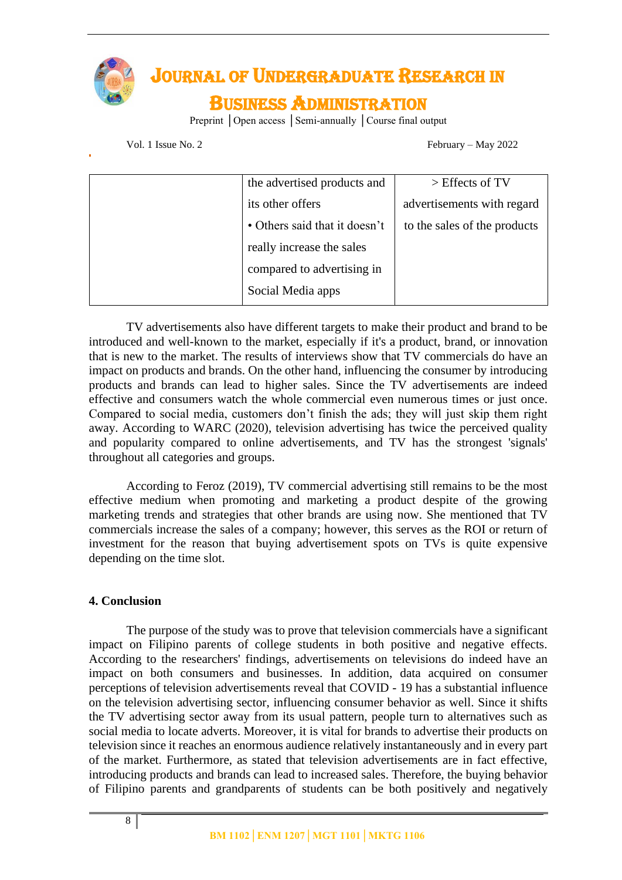

# JOURNAL OF UNDERGRADUATE RESEARCH IN

## BUSINESS ADMINISTRATION

Preprint │Open access │Semi-annually │Course final output

Vol. 1 Issue No. 2 February – May 2022

| the advertised products and   | $>$ Effects of TV            |
|-------------------------------|------------------------------|
| its other offers              | advertisements with regard   |
| • Others said that it doesn't | to the sales of the products |
| really increase the sales     |                              |
| compared to advertising in    |                              |
| Social Media apps             |                              |
|                               |                              |

TV advertisements also have different targets to make their product and brand to be introduced and well-known to the market, especially if it's a product, brand, or innovation that is new to the market. The results of interviews show that TV commercials do have an impact on products and brands. On the other hand, influencing the consumer by introducing products and brands can lead to higher sales. Since the TV advertisements are indeed effective and consumers watch the whole commercial even numerous times or just once. Compared to social media, customers don't finish the ads; they will just skip them right away. According to WARC (2020), television advertising has twice the perceived quality and popularity compared to online advertisements, and TV has the strongest 'signals' throughout all categories and groups.

According to Feroz (2019), TV commercial advertising still remains to be the most effective medium when promoting and marketing a product despite of the growing marketing trends and strategies that other brands are using now. She mentioned that TV commercials increase the sales of a company; however, this serves as the ROI or return of investment for the reason that buying advertisement spots on TVs is quite expensive depending on the time slot.

## **4. Conclusion**

The purpose of the study was to prove that television commercials have a significant impact on Filipino parents of college students in both positive and negative effects. According to the researchers' findings, advertisements on televisions do indeed have an impact on both consumers and businesses. In addition, data acquired on consumer perceptions of television advertisements reveal that COVID - 19 has a substantial influence on the television advertising sector, influencing consumer behavior as well. Since it shifts the TV advertising sector away from its usual pattern, people turn to alternatives such as social media to locate adverts. Moreover, it is vital for brands to advertise their products on television since it reaches an enormous audience relatively instantaneously and in every part of the market. Furthermore, as stated that television advertisements are in fact effective, introducing products and brands can lead to increased sales. Therefore, the buying behavior of Filipino parents and grandparents of students can be both positively and negatively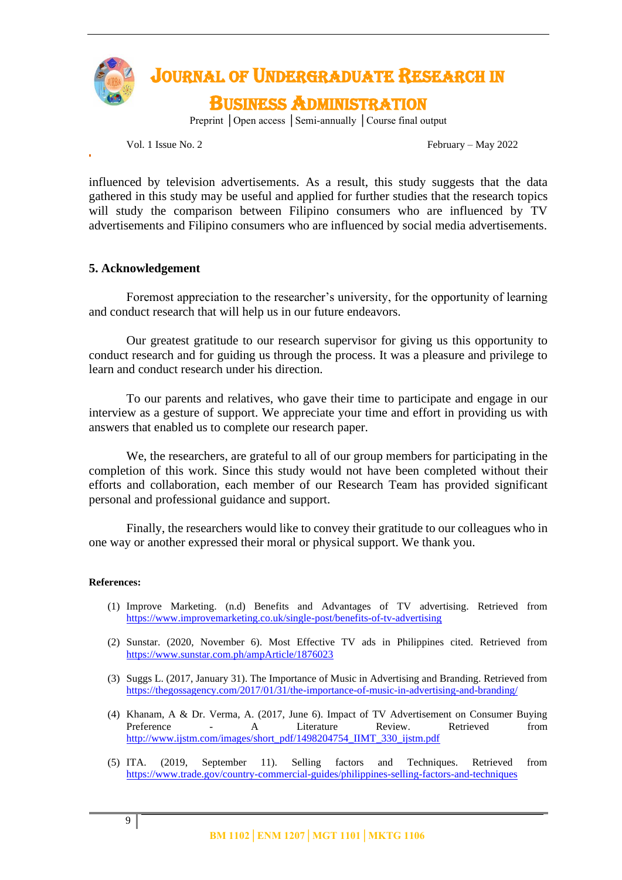

Vol. 1 Issue No. 2 February – May 2022

influenced by television advertisements. As a result, this study suggests that the data gathered in this study may be useful and applied for further studies that the research topics will study the comparison between Filipino consumers who are influenced by TV advertisements and Filipino consumers who are influenced by social media advertisements.

#### **5. Acknowledgement**

Foremost appreciation to the researcher's university, for the opportunity of learning and conduct research that will help us in our future endeavors.

Our greatest gratitude to our research supervisor for giving us this opportunity to conduct research and for guiding us through the process. It was a pleasure and privilege to learn and conduct research under his direction.

To our parents and relatives, who gave their time to participate and engage in our interview as a gesture of support. We appreciate your time and effort in providing us with answers that enabled us to complete our research paper.

We, the researchers, are grateful to all of our group members for participating in the completion of this work. Since this study would not have been completed without their efforts and collaboration, each member of our Research Team has provided significant personal and professional guidance and support.

Finally, the researchers would like to convey their gratitude to our colleagues who in one way or another expressed their moral or physical support. We thank you.

#### **References:**

- (1) Improve Marketing. (n.d) Benefits and Advantages of TV advertising. Retrieved from <https://www.improvemarketing.co.uk/single-post/benefits-of-tv-advertising>
- (2) Sunstar. (2020, November 6). Most Effective TV ads in Philippines cited. Retrieved from https://www.sunstar.com.ph/ampArticle/1876023
- (3) Suggs L. (2017, January 31). The Importance of Music in Advertising and Branding. Retrieved from <https://thegossagency.com/2017/01/31/the-importance-of-music-in-advertising-and-branding/>
- (4) Khanam, A & Dr. Verma, A. (2017, June 6). Impact of TV Advertisement on Consumer Buying Preference - A Literature Review. Retrieved from [http://www.ijstm.com/images/short\\_pdf/1498204754\\_IIMT\\_330\\_ijstm.pdf](http://www.ijstm.com/images/short_pdf/1498204754_IIMT_330_ijstm.pdf)
- (5) ITA. (2019, September 11). Selling factors and Techniques. Retrieved from <https://www.trade.gov/country-commercial-guides/philippines-selling-factors-and-techniques>